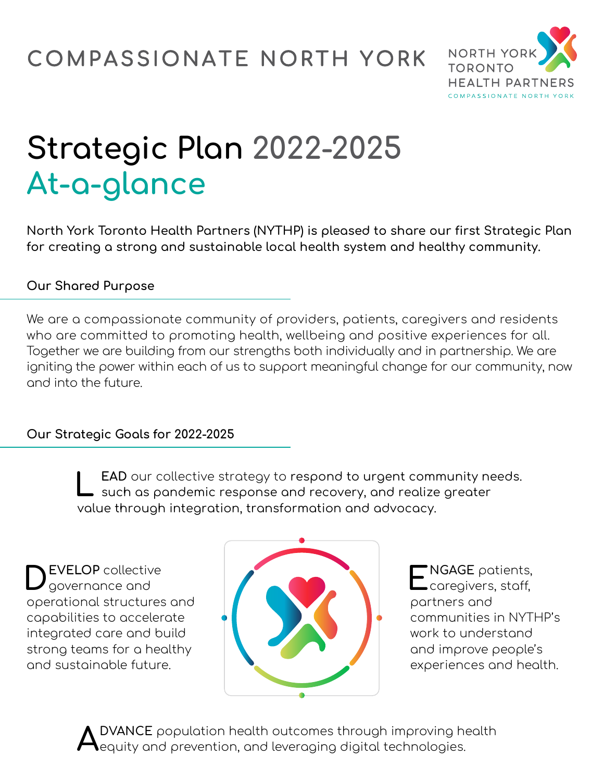

# **Strategic Plan 2022-2025 At-a-glance**

**North York Toronto Health Partners (NYTHP) is pleased to share our first Strategic Plan for creating a strong and sustainable local health system and healthy community.** 

# **Our Shared Purpose**

We are a compassionate community of providers, patients, caregivers and residents who are committed to promoting health, wellbeing and positive experiences for all. Together we are building from our strengths both individually and in partnership. We are igniting the power within each of us to support meaningful change for our community, now and into the future.

### **Our Strategic Goals for 2022-2025**

**L EAD** our collective strategy to respond to urgent-such as pandemic response and recovery, and realize greater community needs. value through integration, transformation and advocacy.  $\,$ 

**DEVELOP** collective governance and operational structures and capabilities to accelerate integrated care and build strong teams for a healthy and sustainable future.



**ENGAGE** patients, **\_**caregivers, staff, partners and communities in NYTHP's work to understand and improve people's experiences and health.

**ADVANCE** population health outcomes through improving health equity and prevention, and leveraging digital technologies.